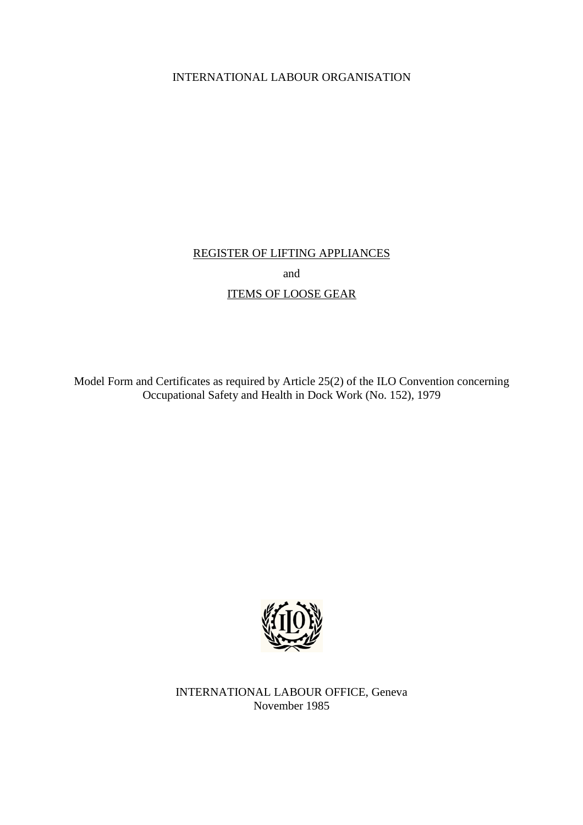## INTERNATIONAL LABOUR ORGANISATION

## REGISTER OF LIFTING APPLIANCES

and

# ITEMS OF LOOSE GEAR

Model Form and Certificates as required by Article 25(2) of the ILO Convention concerning Occupational Safety and Health in Dock Work (No. 152), 1979



INTERNATIONAL LABOUR OFFICE, Geneva November 1985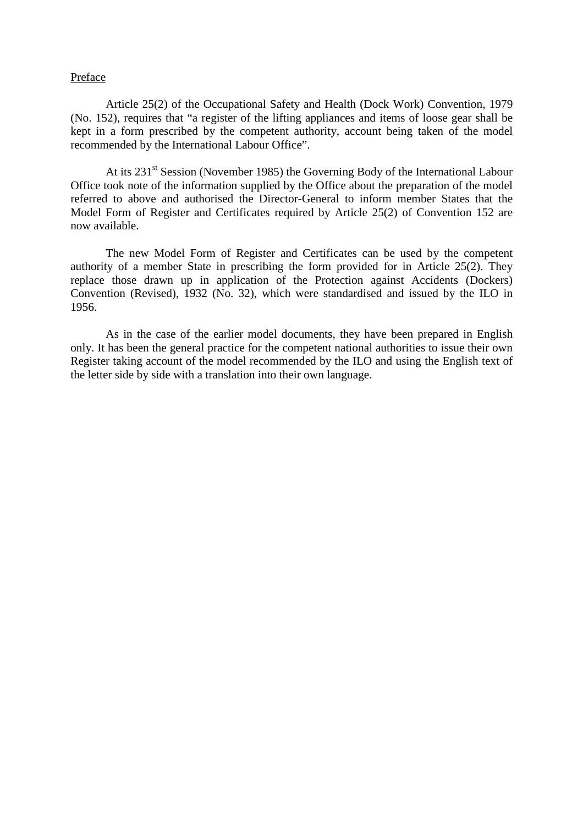#### Preface

 Article 25(2) of the Occupational Safety and Health (Dock Work) Convention, 1979 (No. 152), requires that "a register of the lifting appliances and items of loose gear shall be kept in a form prescribed by the competent authority, account being taken of the model recommended by the International Labour Office".

At its 231<sup>st</sup> Session (November 1985) the Governing Body of the International Labour Office took note of the information supplied by the Office about the preparation of the model referred to above and authorised the Director-General to inform member States that the Model Form of Register and Certificates required by Article 25(2) of Convention 152 are now available.

 The new Model Form of Register and Certificates can be used by the competent authority of a member State in prescribing the form provided for in Article 25(2). They replace those drawn up in application of the Protection against Accidents (Dockers) Convention (Revised), 1932 (No. 32), which were standardised and issued by the ILO in 1956.

 As in the case of the earlier model documents, they have been prepared in English only. It has been the general practice for the competent national authorities to issue their own Register taking account of the model recommended by the ILO and using the English text of the letter side by side with a translation into their own language.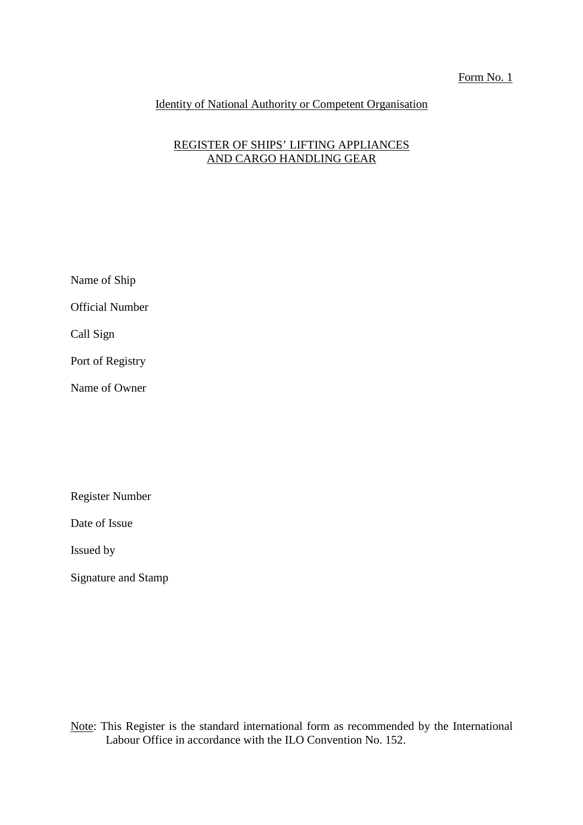#### Form No. 1

## Identity of National Authority or Competent Organisation

## REGISTER OF SHIPS' LIFTING APPLIANCES AND CARGO HANDLING GEAR

Name of Ship Official Number Call Sign Port of Registry

Name of Owner

Register Number

Date of Issue

Issued by

Signature and Stamp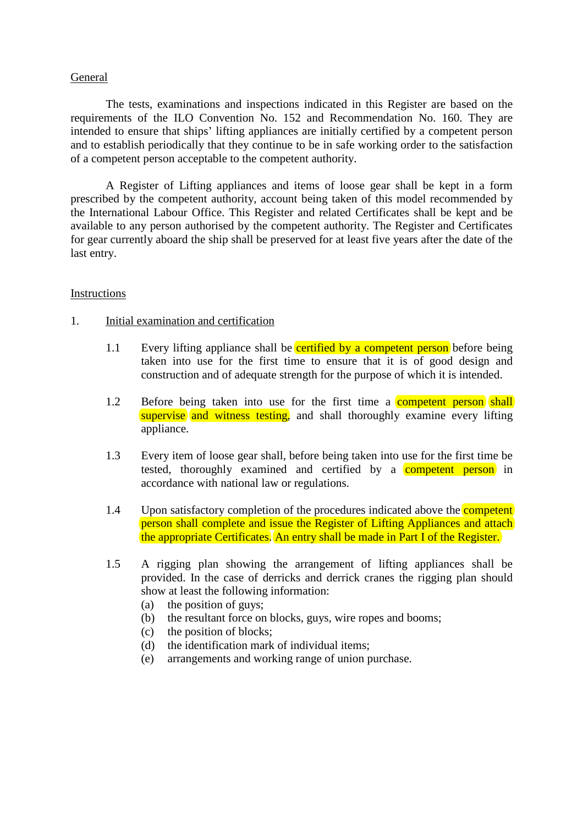#### General

 The tests, examinations and inspections indicated in this Register are based on the requirements of the ILO Convention No. 152 and Recommendation No. 160. They are intended to ensure that ships' lifting appliances are initially certified by a competent person and to establish periodically that they continue to be in safe working order to the satisfaction of a competent person acceptable to the competent authority.

 A Register of Lifting appliances and items of loose gear shall be kept in a form prescribed by the competent authority, account being taken of this model recommended by the International Labour Office. This Register and related Certificates shall be kept and be available to any person authorised by the competent authority. The Register and Certificates for gear currently aboard the ship shall be preserved for at least five years after the date of the last entry.

### Instructions

#### 1. Initial examination and certification

- 1.1 Every lifting appliance shall be **certified by a competent person** before being taken into use for the first time to ensure that it is of good design and construction and of adequate strength for the purpose of which it is intended.
- 1.2 Before being taken into use for the first time a **competent person** shall supervise and witness testing, and shall thoroughly examine every lifting appliance.
- 1.3 Every item of loose gear shall, before being taken into use for the first time be tested, thoroughly examined and certified by a **competent person** in accordance with national law or regulations.
- 1.4 Upon satisfactory completion of the procedures indicated above the **competent** person shall complete and issue the Register of Lifting Appliances and attach the appropriate Certificates. An entry shall be made in Part I of the Register.
- 1.5 A rigging plan showing the arrangement of lifting appliances shall be provided. In the case of derricks and derrick cranes the rigging plan should show at least the following information:
	- (a) the position of guys;
	- (b) the resultant force on blocks, guys, wire ropes and booms;
	- (c) the position of blocks;
	- (d) the identification mark of individual items;
	- (e) arrangements and working range of union purchase.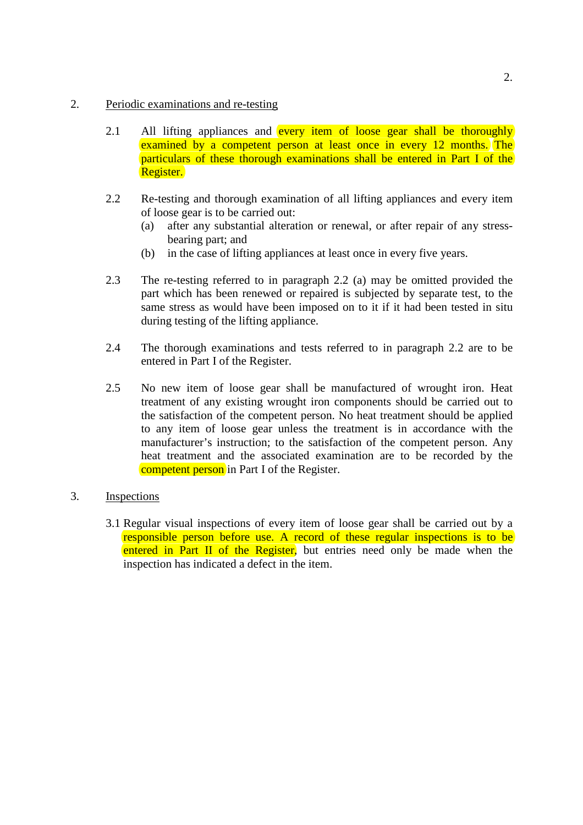### 2. Periodic examinations and re-testing

- 2.1 All lifting appliances and every item of loose gear shall be thoroughly examined by a competent person at least once in every 12 months. The particulars of these thorough examinations shall be entered in Part I of the Register.
- 2.2 Re-testing and thorough examination of all lifting appliances and every item of loose gear is to be carried out:
	- (a) after any substantial alteration or renewal, or after repair of any stressbearing part; and
	- (b) in the case of lifting appliances at least once in every five years.
- 2.3 The re-testing referred to in paragraph 2.2 (a) may be omitted provided the part which has been renewed or repaired is subjected by separate test, to the same stress as would have been imposed on to it if it had been tested in situ during testing of the lifting appliance.
- 2.4 The thorough examinations and tests referred to in paragraph 2.2 are to be entered in Part I of the Register.
- 2.5 No new item of loose gear shall be manufactured of wrought iron. Heat treatment of any existing wrought iron components should be carried out to the satisfaction of the competent person. No heat treatment should be applied to any item of loose gear unless the treatment is in accordance with the manufacturer's instruction; to the satisfaction of the competent person. Any heat treatment and the associated examination are to be recorded by the competent person in Part I of the Register.

### 3. Inspections

3.1 Regular visual inspections of every item of loose gear shall be carried out by a responsible person before use. A record of these regular inspections is to be entered in Part II of the Register, but entries need only be made when the inspection has indicated a defect in the item.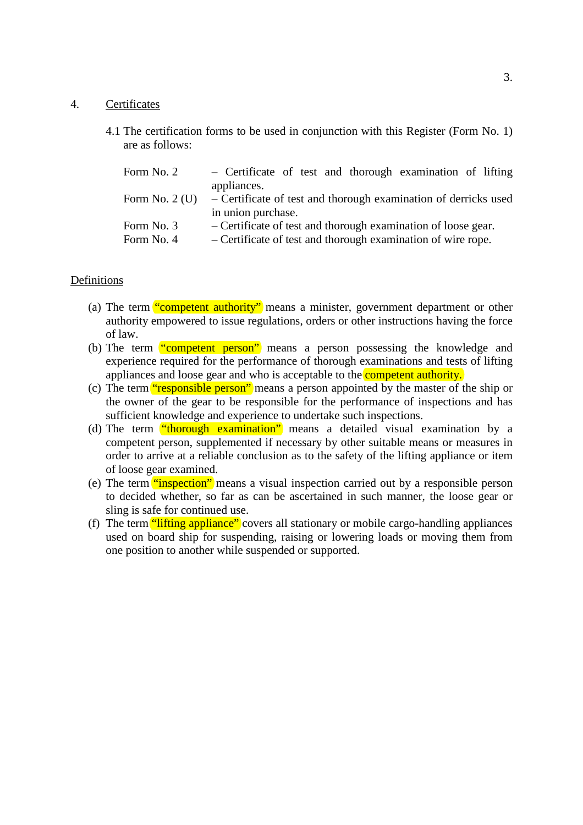#### 4. Certificates

4.1 The certification forms to be used in conjunction with this Register (Form No. 1) are as follows:

| Form No. 2      | - Certificate of test and thorough examination of lifting       |
|-----------------|-----------------------------------------------------------------|
|                 | appliances.                                                     |
| Form No. $2(U)$ | – Certificate of test and thorough examination of derricks used |
|                 | in union purchase.                                              |
| Form No. 3      | – Certificate of test and thorough examination of loose gear.   |
| Form No. 4      | - Certificate of test and thorough examination of wire rope.    |

#### Definitions

- (a) The term **"competent authority"** means a minister, government department or other authority empowered to issue regulations, orders or other instructions having the force of law.
- (b) The term "competent person" means a person possessing the knowledge and experience required for the performance of thorough examinations and tests of lifting appliances and loose gear and who is acceptable to the **competent authority**.
- (c) The term "responsible person" means a person appointed by the master of the ship or the owner of the gear to be responsible for the performance of inspections and has sufficient knowledge and experience to undertake such inspections.
- (d) The term "thorough examination" means a detailed visual examination by a competent person, supplemented if necessary by other suitable means or measures in order to arrive at a reliable conclusion as to the safety of the lifting appliance or item of loose gear examined.
- (e) The term "inspection" means a visual inspection carried out by a responsible person to decided whether, so far as can be ascertained in such manner, the loose gear or sling is safe for continued use.
- (f) The term "lifting appliance" covers all stationary or mobile cargo-handling appliances used on board ship for suspending, raising or lowering loads or moving them from one position to another while suspended or supported.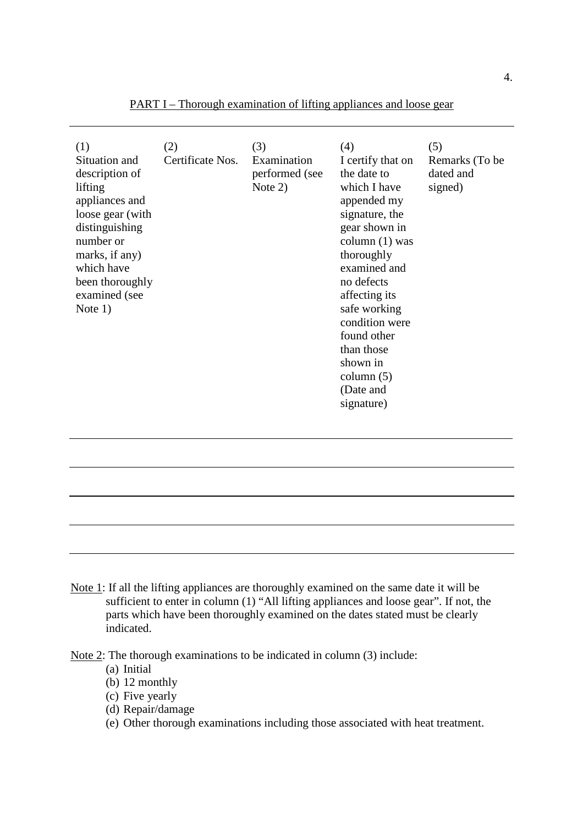| (1)<br>Situation and<br>description of<br>lifting<br>appliances and<br>loose gear (with<br>distinguishing<br>number or<br>marks, if any)<br>which have<br>been thoroughly<br>examined (see<br>Note $1)$ | (2)<br>Certificate Nos. | (3)<br>Examination<br>performed (see<br>Note $2)$ | (4)<br>I certify that on<br>the date to<br>which I have<br>appended my<br>signature, the<br>gear shown in<br>column $(1)$ was<br>thoroughly<br>examined and<br>no defects<br>affecting its<br>safe working<br>condition were<br>found other<br>than those<br>shown in<br>column $(5)$<br>(Date and<br>signature) | (5)<br>Remarks (To be<br>dated and<br>signed) |
|---------------------------------------------------------------------------------------------------------------------------------------------------------------------------------------------------------|-------------------------|---------------------------------------------------|------------------------------------------------------------------------------------------------------------------------------------------------------------------------------------------------------------------------------------------------------------------------------------------------------------------|-----------------------------------------------|
|                                                                                                                                                                                                         |                         |                                                   |                                                                                                                                                                                                                                                                                                                  |                                               |

PART I – Thorough examination of lifting appliances and loose gear

Note 1: If all the lifting appliances are thoroughly examined on the same date it will be sufficient to enter in column (1) "All lifting appliances and loose gear". If not, the parts which have been thoroughly examined on the dates stated must be clearly indicated.

Note 2: The thorough examinations to be indicated in column (3) include:

- (a) Initial
- $(b)$  12 monthly
- (c) Five yearly
- (d) Repair/damage
- (e) Other thorough examinations including those associated with heat treatment.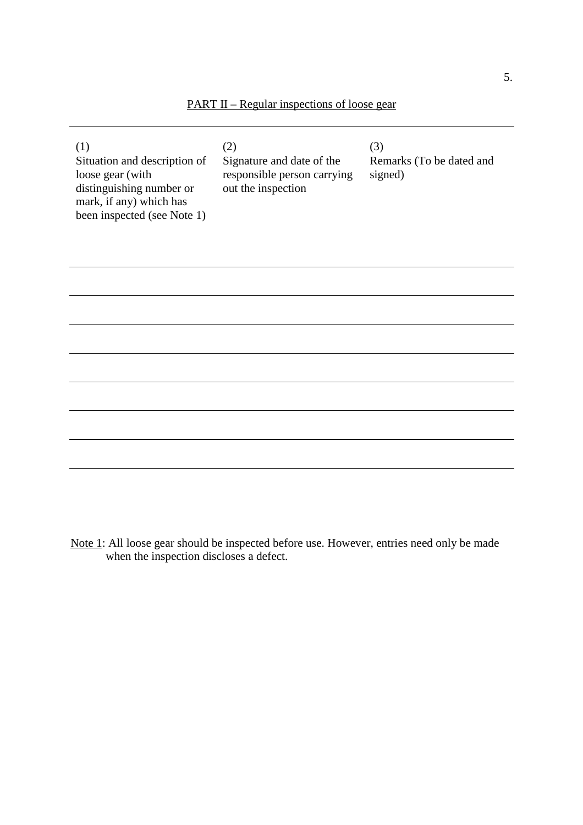|  | <b>PART II</b> – Regular inspections of loose gear |  |  |  |
|--|----------------------------------------------------|--|--|--|
|--|----------------------------------------------------|--|--|--|

| (1)<br>Situation and description of<br>loose gear (with<br>distinguishing number or<br>mark, if any) which has<br>been inspected (see Note 1) | (2)<br>Signature and date of the<br>responsible person carrying<br>out the inspection | (3)<br>Remarks (To be dated and<br>signed) |
|-----------------------------------------------------------------------------------------------------------------------------------------------|---------------------------------------------------------------------------------------|--------------------------------------------|
|                                                                                                                                               |                                                                                       |                                            |
|                                                                                                                                               |                                                                                       |                                            |
|                                                                                                                                               |                                                                                       |                                            |
|                                                                                                                                               |                                                                                       |                                            |
|                                                                                                                                               |                                                                                       |                                            |
|                                                                                                                                               |                                                                                       |                                            |
|                                                                                                                                               |                                                                                       |                                            |
|                                                                                                                                               |                                                                                       |                                            |

Note 1: All loose gear should be inspected before use. However, entries need only be made when the inspection discloses a defect.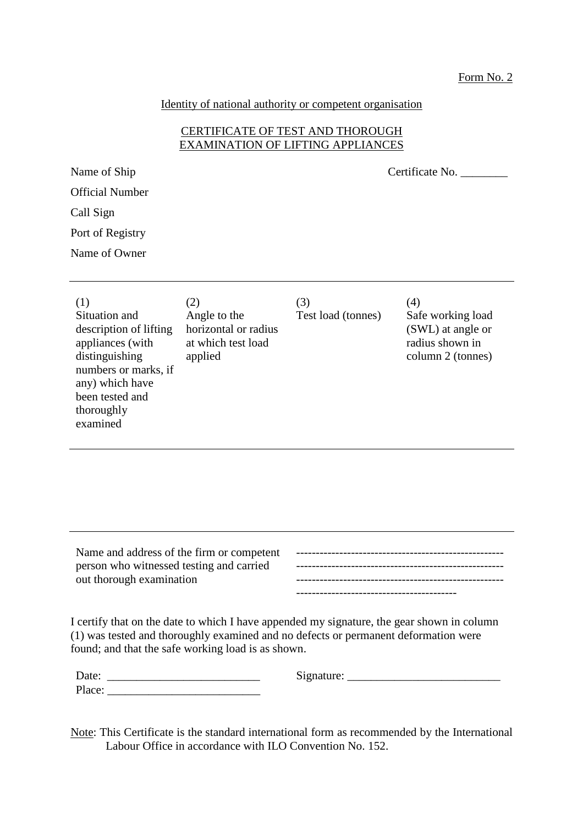Identity of national authority or competent organisation

### CERTIFICATE OF TEST AND THOROUGH EXAMINATION OF LIFTING APPLIANCES

Name of Ship Certificate No.

| <b>Official Number</b> |  |
|------------------------|--|
| Call Sign              |  |

Port of Registry

Name of Owner

| (1)<br>(3)<br>(2)<br>Situation and<br>Angle to the<br>horizontal or radius<br>description of lifting<br>appliances (with<br>at which test load<br>distinguishing<br>applied<br>numbers or marks, if<br>any) which have<br>been tested and<br>thoroughly<br>examined | (4)<br>Test load (tonnes)<br>Safe working load<br>(SWL) at angle or<br>radius shown in<br>column 2 (tonnes) |
|---------------------------------------------------------------------------------------------------------------------------------------------------------------------------------------------------------------------------------------------------------------------|-------------------------------------------------------------------------------------------------------------|
|---------------------------------------------------------------------------------------------------------------------------------------------------------------------------------------------------------------------------------------------------------------------|-------------------------------------------------------------------------------------------------------------|

Name and address of the firm or competent person who witnessed testing and carried out thorough examination ----------------------------------------------------- ----------------------------------------------------- -----------------------------------------

I certify that on the date to which I have appended my signature, the gear shown in column (1) was tested and thoroughly examined and no defects or permanent deformation were found; and that the safe working load is as shown.

| $\overline{\phantom{a}}$ | $\cdots$ |
|--------------------------|----------|
| Date:                    | .gnature |
| Place:                   |          |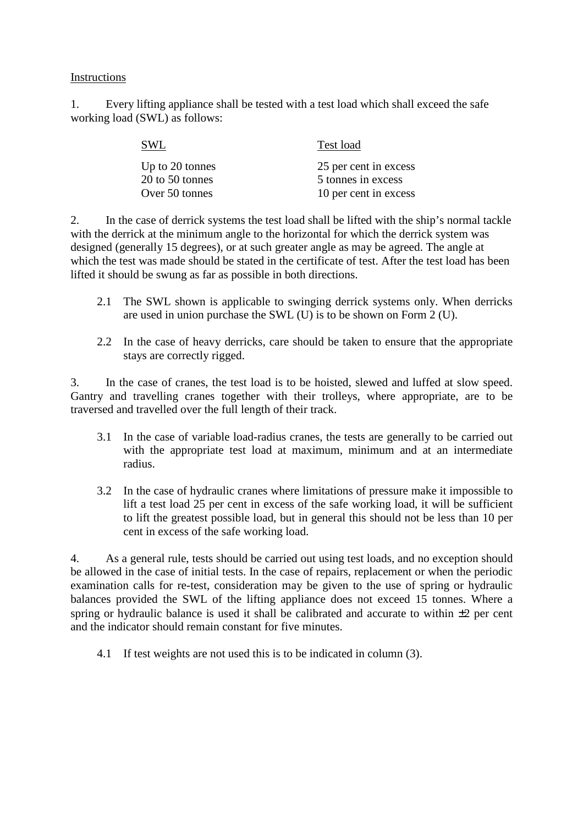1. Every lifting appliance shall be tested with a test load which shall exceed the safe working load (SWL) as follows:

| SWL             | Test load             |
|-----------------|-----------------------|
| Up to 20 tonnes | 25 per cent in excess |
| 20 to 50 tonnes | 5 tonnes in excess    |
| Over 50 tonnes  | 10 per cent in excess |

2. In the case of derrick systems the test load shall be lifted with the ship's normal tackle with the derrick at the minimum angle to the horizontal for which the derrick system was designed (generally 15 degrees), or at such greater angle as may be agreed. The angle at which the test was made should be stated in the certificate of test. After the test load has been lifted it should be swung as far as possible in both directions.

- 2.1 The SWL shown is applicable to swinging derrick systems only. When derricks are used in union purchase the SWL (U) is to be shown on Form 2 (U).
- 2.2 In the case of heavy derricks, care should be taken to ensure that the appropriate stays are correctly rigged.

3. In the case of cranes, the test load is to be hoisted, slewed and luffed at slow speed. Gantry and travelling cranes together with their trolleys, where appropriate, are to be traversed and travelled over the full length of their track.

- 3.1 In the case of variable load-radius cranes, the tests are generally to be carried out with the appropriate test load at maximum, minimum and at an intermediate radius.
- 3.2 In the case of hydraulic cranes where limitations of pressure make it impossible to lift a test load 25 per cent in excess of the safe working load, it will be sufficient to lift the greatest possible load, but in general this should not be less than 10 per cent in excess of the safe working load.

4. As a general rule, tests should be carried out using test loads, and no exception should be allowed in the case of initial tests. In the case of repairs, replacement or when the periodic examination calls for re-test, consideration may be given to the use of spring or hydraulic balances provided the SWL of the lifting appliance does not exceed 15 tonnes. Where a spring or hydraulic balance is used it shall be calibrated and accurate to within  $\pm 2$  per cent and the indicator should remain constant for five minutes.

4.1 If test weights are not used this is to be indicated in column (3).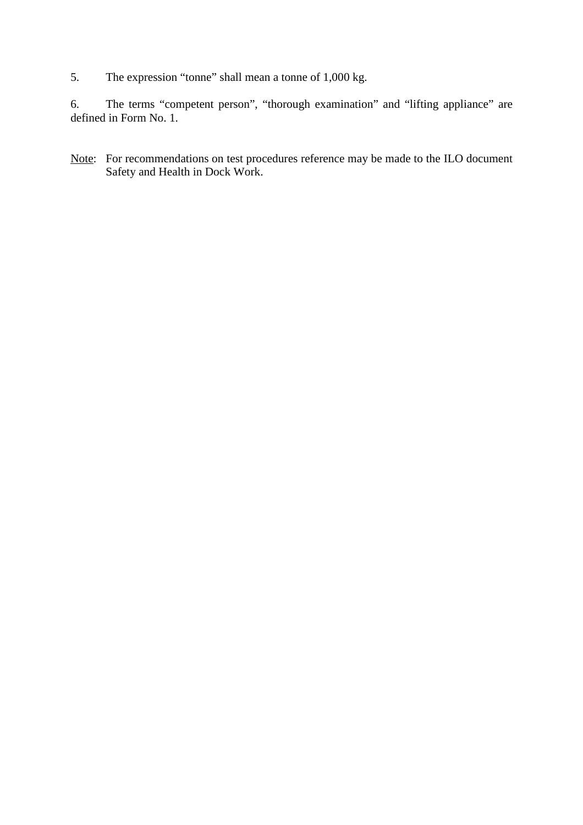5. The expression "tonne" shall mean a tonne of 1,000 kg.

6. The terms "competent person", "thorough examination" and "lifting appliance" are defined in Form No. 1.

Note: For recommendations on test procedures reference may be made to the ILO document Safety and Health in Dock Work.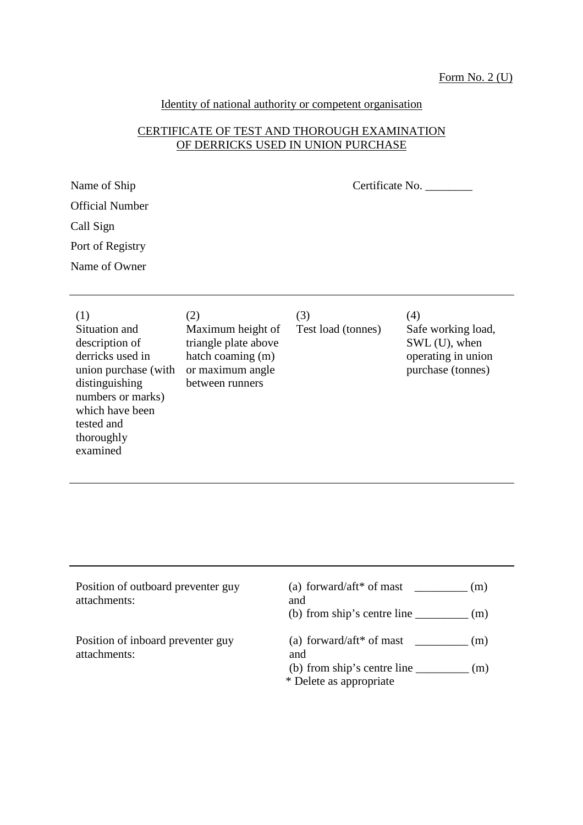# Identity of national authority or competent organisation

#### CERTIFICATE OF TEST AND THOROUGH EXAMINATION OF DERRICKS USED IN UNION PURCHASE

| Name of Ship           | Certificate No. |
|------------------------|-----------------|
| <b>Official Number</b> |                 |
| Call Sign              |                 |
| Port of Registry       |                 |
| Name of Owner          |                 |
|                        |                 |

| (1)                  | (2)                  | (3)                | (4)                |
|----------------------|----------------------|--------------------|--------------------|
| Situation and        | Maximum height of    | Test load (tonnes) | Safe working load, |
| description of       | triangle plate above |                    | SWL (U), when      |
| derricks used in     | hatch coaming (m)    |                    | operating in union |
| union purchase (with | or maximum angle     |                    | purchase (tonnes)  |
| distinguishing       | between runners      |                    |                    |
| numbers or marks)    |                      |                    |                    |
| which have been      |                      |                    |                    |
| tested and           |                      |                    |                    |
| thoroughly           |                      |                    |                    |

examined

| Position of outboard preventer guy<br>attachments: | (a) forward/aft* of mast<br>(m)<br>and<br>(b) from ship's centre line<br>(m)                                            |
|----------------------------------------------------|-------------------------------------------------------------------------------------------------------------------------|
| Position of inboard preventer guy<br>attachments:  | (a) forward/aft* of mast $\qquad \qquad$<br>(m)<br>and<br>(b) from ship's centre line<br>(m)<br>* Delete as appropriate |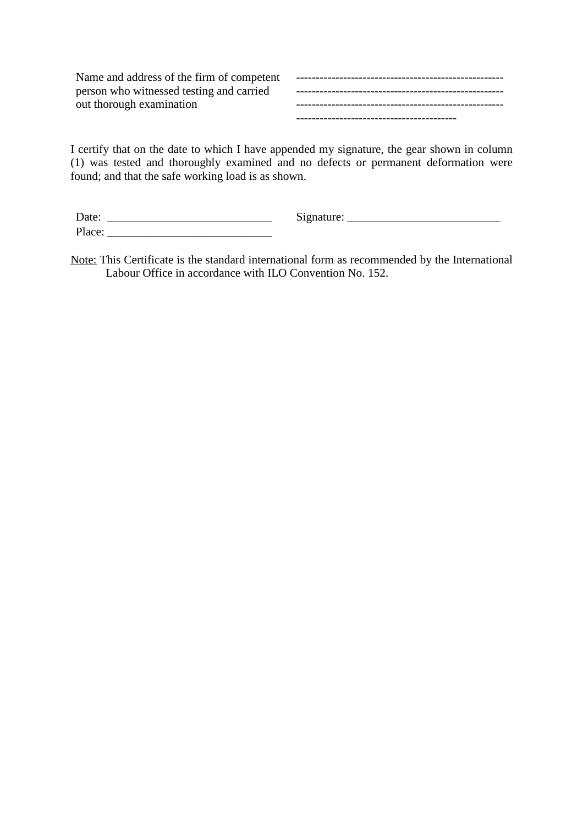Name and address of the firm of competent person who witnessed testing and carried out thorough examination ----------------------------------------------------- ----------------------------------------------------- ----------------------------------------------------- -----------------------------------------

I certify that on the date to which I have appended my signature, the gear shown in column (1) was tested and thoroughly examined and no defects or permanent deformation were found; and that the safe working load is as shown.

| Date:  | Signature: |
|--------|------------|
| Place: |            |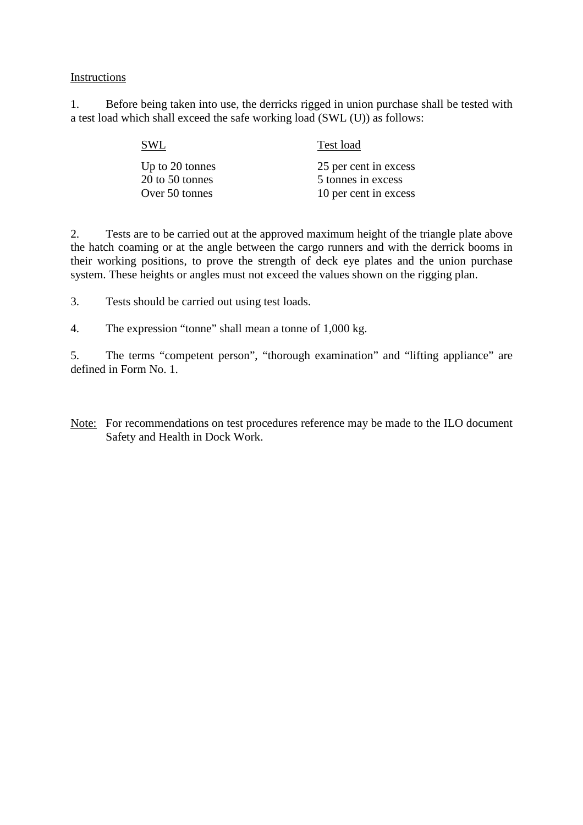1. Before being taken into use, the derricks rigged in union purchase shall be tested with a test load which shall exceed the safe working load (SWL (U)) as follows:

| SWL             | Test load             |  |
|-----------------|-----------------------|--|
| Up to 20 tonnes | 25 per cent in excess |  |
| 20 to 50 tonnes | 5 tonnes in excess    |  |
| Over 50 tonnes  | 10 per cent in excess |  |

2. Tests are to be carried out at the approved maximum height of the triangle plate above the hatch coaming or at the angle between the cargo runners and with the derrick booms in their working positions, to prove the strength of deck eye plates and the union purchase system. These heights or angles must not exceed the values shown on the rigging plan.

3. Tests should be carried out using test loads.

4. The expression "tonne" shall mean a tonne of 1,000 kg.

5. The terms "competent person", "thorough examination" and "lifting appliance" are defined in Form No. 1.

Note: For recommendations on test procedures reference may be made to the ILO document Safety and Health in Dock Work.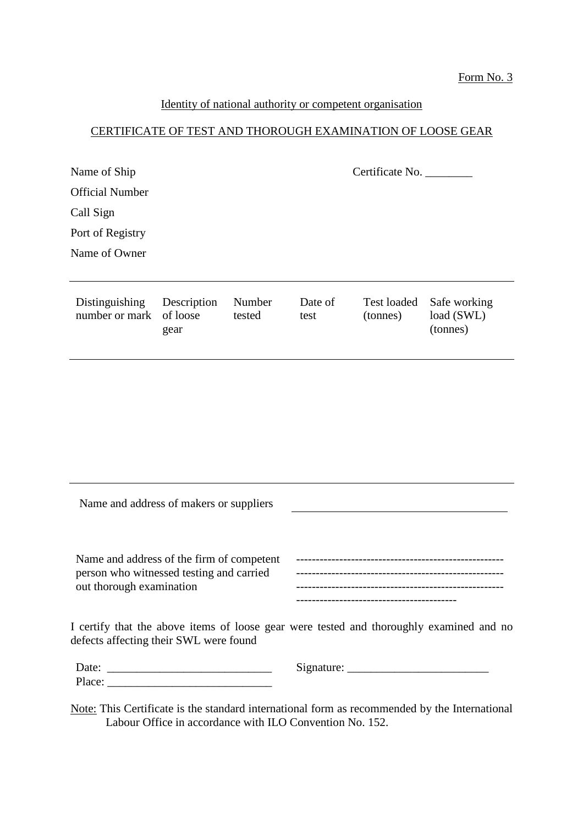## Form No. 3

## Identity of national authority or competent organisation

# CERTIFICATE OF TEST AND THOROUGH EXAMINATION OF LOOSE GEAR

| Name of Ship                     |                                 |                  |                 | Certificate No.                |                                        |
|----------------------------------|---------------------------------|------------------|-----------------|--------------------------------|----------------------------------------|
| <b>Official Number</b>           |                                 |                  |                 |                                |                                        |
| Call Sign                        |                                 |                  |                 |                                |                                        |
| Port of Registry                 |                                 |                  |                 |                                |                                        |
| Name of Owner                    |                                 |                  |                 |                                |                                        |
|                                  |                                 |                  |                 |                                |                                        |
| Distinguishing<br>number or mark | Description<br>of loose<br>gear | Number<br>tested | Date of<br>test | <b>Test loaded</b><br>(tonnes) | Safe working<br>load (SWL)<br>(tonnes) |
|                                  |                                 |                  |                 |                                |                                        |
|                                  |                                 |                  |                 |                                |                                        |

| Name and address of makers or suppliers                                                                           |                                                                                         |
|-------------------------------------------------------------------------------------------------------------------|-----------------------------------------------------------------------------------------|
| Name and address of the firm of competent<br>person who witnessed testing and carried<br>out thorough examination |                                                                                         |
| defects affecting their SWL were found                                                                            | I certify that the above items of loose gear were tested and thoroughly examined and no |
|                                                                                                                   |                                                                                         |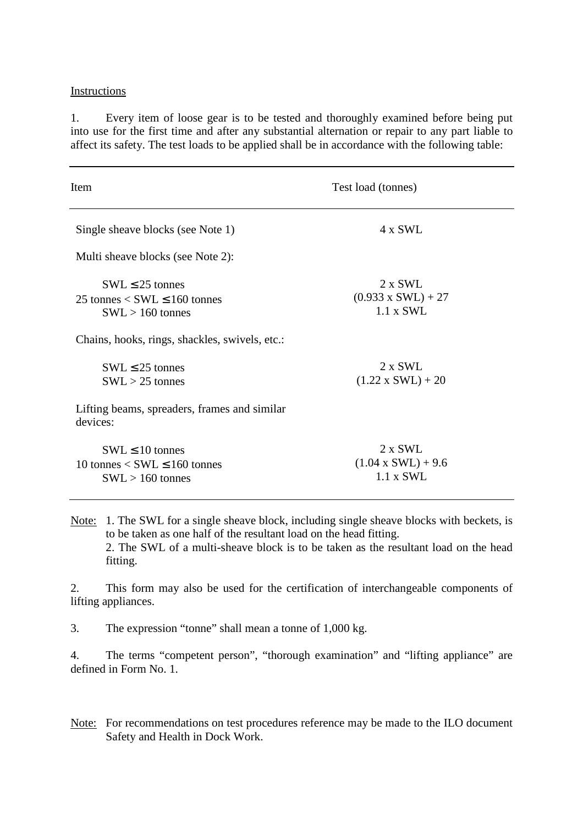1. Every item of loose gear is to be tested and thoroughly examined before being put into use for the first time and after any substantial alternation or repair to any part liable to affect its safety. The test loads to be applied shall be in accordance with the following table:

| Item                                                                                    | Test load (tonnes)                                              |
|-----------------------------------------------------------------------------------------|-----------------------------------------------------------------|
| Single sheave blocks (see Note 1)                                                       | 4 x SWL                                                         |
| Multi sheave blocks (see Note 2):                                                       |                                                                 |
| $SWL \leq 25$ tonnes<br>25 tonnes $<$ SWL $\leq$ 160 tonnes<br>$SWL > 160$ tonnes       | $2 \times SWL$<br>$(0.933 \times SWL) + 27$<br>$1.1 \times SWL$ |
| Chains, hooks, rings, shackles, swivels, etc.:                                          |                                                                 |
| $SWL \leq 25$ tonnes<br>$SWL > 25$ tonnes                                               | $2 \times SWL$<br>$(1.22 \times SWL) + 20$                      |
| Lifting beams, spreaders, frames and similar<br>devices:                                |                                                                 |
| $SWL \leq 10$ tonnes<br>10 tonnes $\langle$ SWL $\leq$ 160 tonnes<br>$SWL > 160$ tonnes | $2 \times SWL$<br>$(1.04 \times SWL) + 9.6$<br>$1.1 \times SWL$ |

Note: 1. The SWL for a single sheave block, including single sheave blocks with beckets, is to be taken as one half of the resultant load on the head fitting. 2. The SWL of a multi-sheave block is to be taken as the resultant load on the head fitting.

2. This form may also be used for the certification of interchangeable components of lifting appliances.

3. The expression "tonne" shall mean a tonne of 1,000 kg.

4. The terms "competent person", "thorough examination" and "lifting appliance" are defined in Form No. 1.

Note: For recommendations on test procedures reference may be made to the ILO document Safety and Health in Dock Work.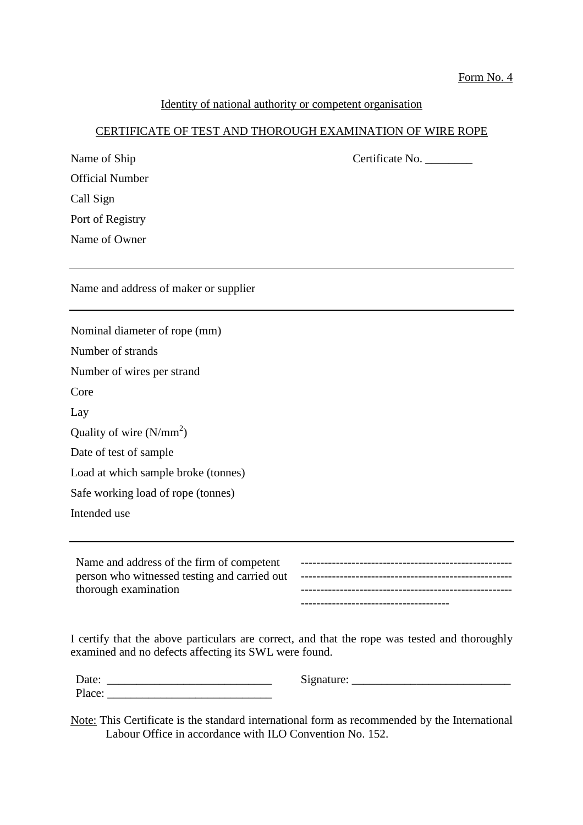#### Form No. 4

## Identity of national authority or competent organisation

## CERTIFICATE OF TEST AND THOROUGH EXAMINATION OF WIRE ROPE

Name of Ship Certificate No.

| <b>Official Number</b>                                                                                            |                              |
|-------------------------------------------------------------------------------------------------------------------|------------------------------|
| Call Sign                                                                                                         |                              |
| Port of Registry                                                                                                  |                              |
| Name of Owner                                                                                                     |                              |
|                                                                                                                   |                              |
| Name and address of maker or supplier                                                                             |                              |
| Nominal diameter of rope (mm)                                                                                     |                              |
| Number of strands                                                                                                 |                              |
| Number of wires per strand                                                                                        |                              |
| Core                                                                                                              |                              |
| Lay                                                                                                               |                              |
| Quality of wire $(N/mm^2)$                                                                                        |                              |
| Date of test of sample                                                                                            |                              |
| Load at which sample broke (tonnes)                                                                               |                              |
| Safe working load of rope (tonnes)                                                                                |                              |
| Intended use                                                                                                      |                              |
|                                                                                                                   |                              |
| Name and address of the firm of competent<br>person who witnessed testing and carried out<br>thorough examination |                              |
| I certify that the above particulars are correct and that the rope was tested and thoroughly                      | ---------------------------- |

I certify that the above particulars are correct, and that the rope was tested and thoroughly examined and no defects affecting its SWL were found.

| Date:  | Signature:<br>NJ) |
|--------|-------------------|
| Place: |                   |